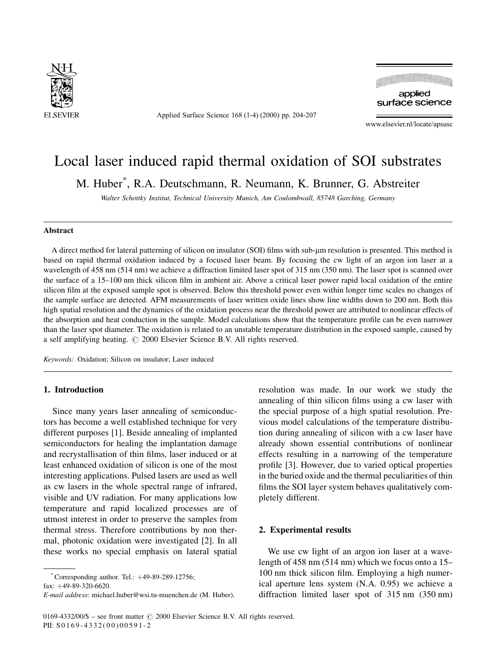

Applied Surface Science 168 (1-4) (2000) pp. 204-207



www.elsevier.nl/locate/apsusc

# Local laser induced rapid thermal oxidation of SOI substrates

M. Huber\* , R.A. Deutschmann, R. Neumann, K. Brunner, G. Abstreiter

Walter Schottky Institut, Technical University Munich, Am Coulombwall, 85748 Garching, Germany

#### Abstract

A direct method for lateral patterning of silicon on insulator (SOI) films with sub-um resolution is presented. This method is based on rapid thermal oxidation induced by a focused laser beam. By focusing the cw light of an argon ion laser at a wavelength of 458 nm (514 nm) we achieve a diffraction limited laser spot of 315 nm (350 nm). The laser spot is scanned over the surface of a 15–100 nm thick silicon film in ambient air. Above a critical laser power rapid local oxidation of the entire silicon film at the exposed sample spot is observed. Below this threshold power even within longer time scales no changes of the sample surface are detected. AFM measurements of laser written oxide lines show line widths down to 200 nm. Both this high spatial resolution and the dynamics of the oxidation process near the threshold power are attributed to nonlinear effects of the absorption and heat conduction in the sample. Model calculations show that the temperature profile can be even narrower than the laser spot diameter. The oxidation is related to an unstable temperature distribution in the exposed sample, caused by a self amplifying heating.  $\odot$  2000 Elsevier Science B.V. All rights reserved.

Keywords: Oxidation; Silicon on insulator; Laser induced

# 1. Introduction

Since many years laser annealing of semiconductors has become a well established technique for very different purposes [1]. Beside annealing of implanted semiconductors for healing the implantation damage and recrystallisation of thin films, laser induced or at least enhanced oxidation of silicon is one of the most interesting applications. Pulsed lasers are used as well as cw lasers in the whole spectral range of infrared, visible and UV radiation. For many applications low temperature and rapid localized processes are of utmost interest in order to preserve the samples from thermal stress. Therefore contributions by non thermal, photonic oxidation were investigated [2]. In all these works no special emphasis on lateral spatial

 $^*$ Corresponding author. Tel.:  $+49-89-289-12756$ ;

 $fax: +49-89-320-6620$ 

E-mail address: michael.huber@wsi.tu-muenchen.de (M. Huber).

resolution was made. In our work we study the annealing of thin silicon films using a cw laser with the special purpose of a high spatial resolution. Previous model calculations of the temperature distribution during annealing of silicon with a cw laser have already shown essential contributions of nonlinear effects resulting in a narrowing of the temperature profile [3]. However, due to varied optical properties in the buried oxide and the thermal peculiarities of thin films the SOI layer system behaves qualitatively completely different.

## 2. Experimental results

We use cw light of an argon ion laser at a wavelength of  $458 \text{ nm}$  (514 nm) which we focus onto a 15 $-$ 100 nm thick silicon film. Employing a high numerical aperture lens system (N.A. 0.95) we achieve a diffraction limited laser spot of 315 nm (350 nm)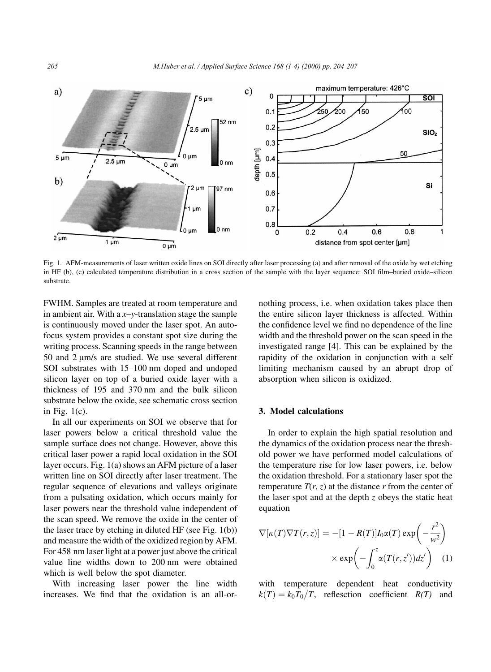

Fig. 1. AFM-measurements of laser written oxide lines on SOI directly after laser processing (a) and after removal of the oxide by wet etching in HF (b), (c) calculated temperature distribution in a cross section of the sample with the layer sequence: SOI film-buried oxide-silicon substrate.

FWHM. Samples are treated at room temperature and in ambient air. With a  $x-y$ -translation stage the sample is continuously moved under the laser spot. An autofocus system provides a constant spot size during the writing process. Scanning speeds in the range between 50 and  $2 \mu m/s$  are studied. We use several different SOI substrates with 15-100 nm doped and undoped silicon layer on top of a buried oxide layer with a thickness of 195 and 370 nm and the bulk silicon substrate below the oxide, see schematic cross section in Fig.  $1(c)$ .

In all our experiments on SOI we observe that for laser powers below a critical threshold value the sample surface does not change. However, above this critical laser power a rapid local oxidation in the SOI layer occurs. Fig. 1(a) shows an AFM picture of a laser written line on SOI directly after laser treatment. The regular sequence of elevations and valleys originate from a pulsating oxidation, which occurs mainly for laser powers near the threshold value independent of the scan speed. We remove the oxide in the center of the laser trace by etching in diluted HF (see Fig. 1(b)) and measure the width of the oxidized region by AFM. For 458 nm laser light at a power just above the critical value line widths down to 200 nm were obtained which is well below the spot diameter.

With increasing laser power the line width increases. We find that the oxidation is an all-ornothing process, i.e. when oxidation takes place then the entire silicon layer thickness is affected. Within the confidence level we find no dependence of the line width and the threshold power on the scan speed in the investigated range [4]. This can be explained by the rapidity of the oxidation in conjunction with a self limiting mechanism caused by an abrupt drop of absorption when silicon is oxidized.

#### 3. Model calculations

In order to explain the high spatial resolution and the dynamics of the oxidation process near the threshold power we have performed model calculations of the temperature rise for low laser powers, i.e. below the oxidation threshold. For a stationary laser spot the temperature  $T(r, z)$  at the distance r from the center of the laser spot and at the depth  $z$  obeys the static heat equation

$$
\nabla[\kappa(T)\nabla T(r,z)] = -[1 - R(T)]I_0\alpha(T) \exp\left(-\frac{r^2}{w^2}\right)
$$

$$
\times \exp\left(-\int_0^z \alpha(T(r,z'))dz'\right) \quad (1)
$$

with temperature dependent heat conductivity  $k(T) = k_0T_0/T$ , reflesction coefficient  $R(T)$  and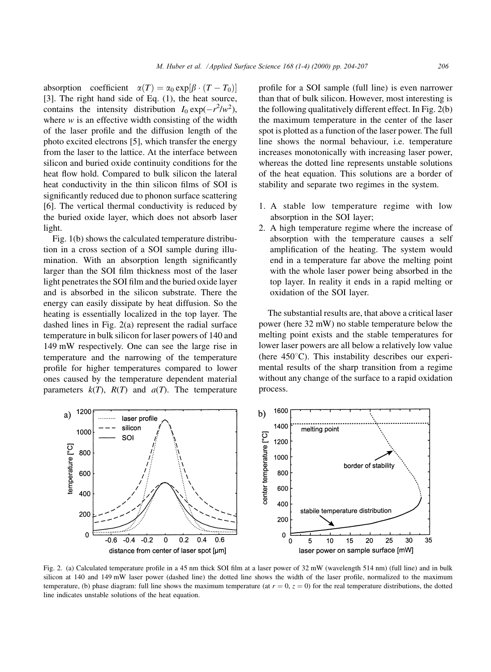absorption coefficient  $\alpha(T) = \alpha_0 \exp[\beta \cdot (T - T_0)]$ [3]. The right hand side of Eq. (1), the heat source, contains the intensity distribution  $I_0 \exp(-r^2/w^2)$ , where  $w$  is an effective width consisting of the width of the laser profile and the diffusion length of the photo excited electrons [5], which transfer the energy from the laser to the lattice. At the interface between silicon and buried oxide continuity conditions for the heat flow hold. Compared to bulk silicon the lateral heat conductivity in the thin silicon films of SOI is significantly reduced due to phonon surface scattering [6]. The vertical thermal conductivity is reduced by the buried oxide layer, which does not absorb laser light.

Fig. 1(b) shows the calculated temperature distribution in a cross section of a SOI sample during illumination. With an absorption length significantly larger than the SOI film thickness most of the laser light penetrates the SOI film and the buried oxide layer and is absorbed in the silicon substrate. There the energy can easily dissipate by heat diffusion. So the heating is essentially localized in the top layer. The dashed lines in Fig. 2(a) represent the radial surface temperature in bulk silicon for laser powers of 140 and 149 mW respectively. One can see the large rise in temperature and the narrowing of the temperature profile for higher temperatures compared to lower ones caused by the temperature dependent material parameters  $k(T)$ ,  $R(T)$  and  $a(T)$ . The temperature profile for a SOI sample (full line) is even narrower than that of bulk silicon. However, most interesting is the following qualitatively different effect. In Fig. 2(b) the maximum temperature in the center of the laser spot is plotted as a function of the laser power. The full line shows the normal behaviour, i.e. temperature increases monotonically with increasing laser power, whereas the dotted line represents unstable solutions of the heat equation. This solutions are a border of stability and separate two regimes in the system.

- 1. A stable low temperature regime with low absorption in the SOI layer;
- 2. A high temperature regime where the increase of absorption with the temperature causes a self amplification of the heating. The system would end in a temperature far above the melting point with the whole laser power being absorbed in the top layer. In reality it ends in a rapid melting or oxidation of the SOI layer.

The substantial results are, that above a critical laser power (here 32 mW) no stable temperature below the melting point exists and the stable temperatures for lower laser powers are all below a relatively low value (here  $450^{\circ}$ C). This instability describes our experimental results of the sharp transition from a regime without any change of the surface to a rapid oxidation process.



Fig. 2. (a) Calculated temperature profile in a 45 nm thick SOI film at a laser power of 32 mW (wavelength 514 nm) (full line) and in bulk silicon at 140 and 149 mW laser power (dashed line) the dotted line shows the width of the laser profile, normalized to the maximum temperature, (b) phase diagram: full line shows the maximum temperature (at  $r = 0$ ,  $z = 0$ ) for the real temperature distributions, the dotted line indicates unstable solutions of the heat equation.